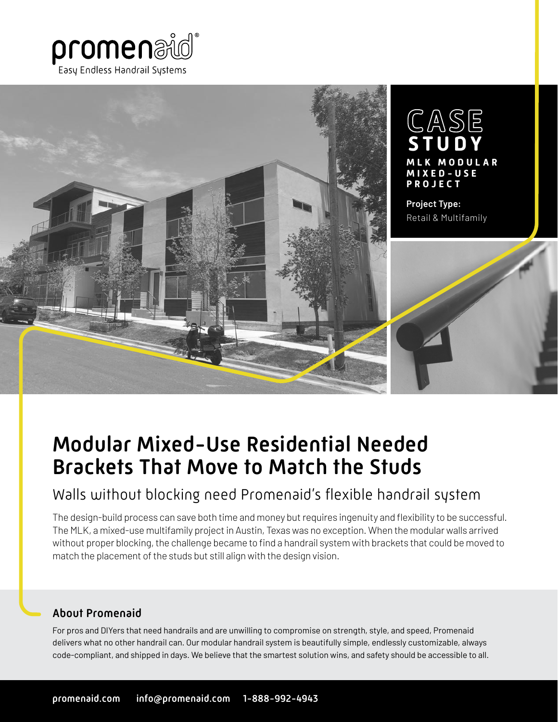



# Modular Mixed-Use Residential Needed Brackets That Move to Match the Studs

## Walls without blocking need Promenaid's flexible handrail system

The design-build process can save both time and money but requires ingenuity and flexibility to be successful. The MLK, a mixed-use multifamily project in Austin, Texas was no exception. When the modular walls arrived without proper blocking, the challenge became to find a handrail system with brackets that could be moved to match the placement of the studs but still align with the design vision.

### About Promenaid

For pros and DIYers that need handrails and are unwilling to compromise on strength, style, and speed, Promenaid delivers what no other handrail can. Our modular handrail system is beautifully simple, endlessly customizable, always code-compliant, and shipped in days. We believe that the smartest solution wins, and safety should be accessible to all.